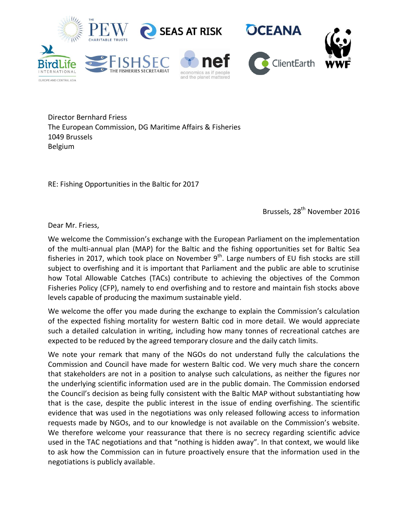

Director Bernhard Friess The European Commission, DG Maritime Affairs & Fisheries 1049 Brussels Belgium

RE: Fishing Opportunities in the Baltic for 2017

Brussels, 28<sup>th</sup> November 2016

Dear Mr. Friess,

We welcome the Commission's exchange with the European Parliament on the implementation of the multi-annual plan (MAP) for the Baltic and the fishing opportunities set for Baltic Sea fisheries in 2017, which took place on November  $9<sup>th</sup>$ . Large numbers of EU fish stocks are still subject to overfishing and it is important that Parliament and the public are able to scrutinise how Total Allowable Catches (TACs) contribute to achieving the objectives of the Common Fisheries Policy (CFP), namely to end overfishing and to restore and maintain fish stocks above levels capable of producing the maximum sustainable yield.

We welcome the offer you made during the exchange to explain the Commission's calculation of the expected fishing mortality for western Baltic cod in more detail. We would appreciate such a detailed calculation in writing, including how many tonnes of recreational catches are expected to be reduced by the agreed temporary closure and the daily catch limits.

We note your remark that many of the NGOs do not understand fully the calculations the Commission and Council have made for western Baltic cod. We very much share the concern that stakeholders are not in a position to analyse such calculations, as neither the figures nor the underlying scientific information used are in the public domain. The Commission endorsed the Council's decision as being fully consistent with the Baltic MAP without substantiating how that is the case, despite the public interest in the issue of ending overfishing. The scientific evidence that was used in the negotiations was only released following access to information requests made by NGOs, and to our knowledge is not available on the Commission's website. We therefore welcome your reassurance that there is no secrecy regarding scientific advice used in the TAC negotiations and that "nothing is hidden away". In that context, we would like to ask how the Commission can in future proactively ensure that the information used in the negotiations is publicly available.